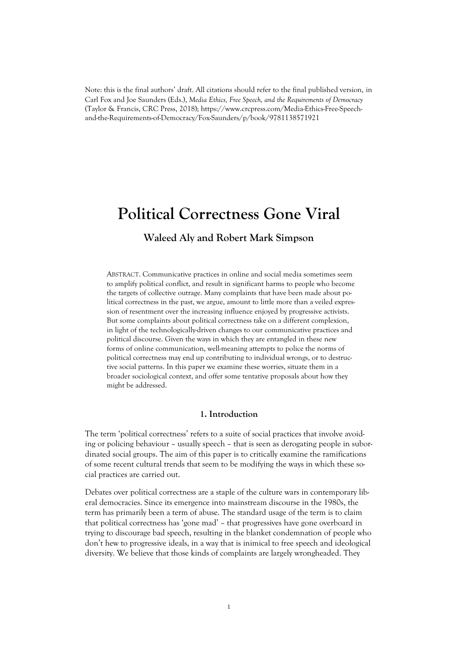Note: this is the final authors' draft. All citations should refer to the final published version, in Carl Fox and Joe Saunders (Eds.), *Media Ethics, Free Speech, and the Requirements of Democracy* (Taylor & Francis, CRC Press, 2018); https://www.crcpress.com/Media-Ethics-Free-Speechand-the-Requirements-of-Democracy/Fox-Saunders/p/book/9781138571921

# **Political Correctness Gone Viral**

# **Waleed Aly and Robert Mark Simpson**

ABSTRACT. Communicative practices in online and social media sometimes seem to amplify political conflict, and result in significant harms to people who become the targets of collective outrage. Many complaints that have been made about political correctness in the past, we argue, amount to little more than a veiled expression of resentment over the increasing influence enjoyed by progressive activists. But some complaints about political correctness take on a different complexion, in light of the technologically-driven changes to our communicative practices and political discourse. Given the ways in which they are entangled in these new forms of online communication, well-meaning attempts to police the norms of political correctness may end up contributing to individual wrongs, or to destructive social patterns. In this paper we examine these worries, situate them in a broader sociological context, and offer some tentative proposals about how they might be addressed.

# **1. Introduction**

The term 'political correctness' refers to a suite of social practices that involve avoiding or policing behaviour – usually speech – that is seen as derogating people in subordinated social groups. The aim of this paper is to critically examine the ramifications of some recent cultural trends that seem to be modifying the ways in which these social practices are carried out.

Debates over political correctness are a staple of the culture wars in contemporary liberal democracies. Since its emergence into mainstream discourse in the 1980s, the term has primarily been a term of abuse. The standard usage of the term is to claim that political correctness has 'gone mad' – that progressives have gone overboard in trying to discourage bad speech, resulting in the blanket condemnation of people who don't hew to progressive ideals, in a way that is inimical to free speech and ideological diversity. We believe that those kinds of complaints are largely wrongheaded. They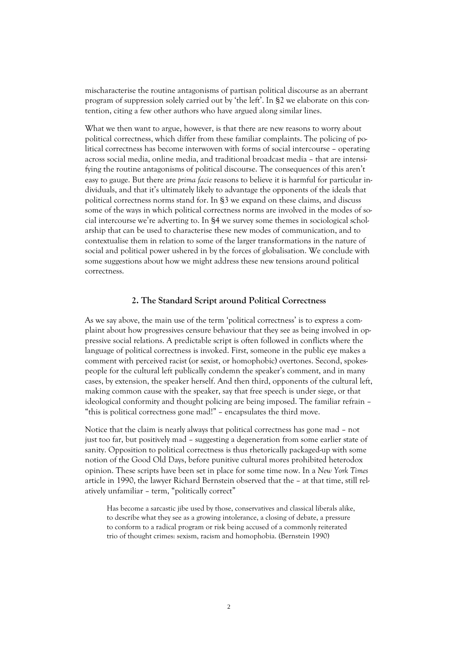mischaracterise the routine antagonisms of partisan political discourse as an aberrant program of suppression solely carried out by 'the left'. In §2 we elaborate on this contention, citing a few other authors who have argued along similar lines.

What we then want to argue, however, is that there are new reasons to worry about political correctness, which differ from these familiar complaints. The policing of political correctness has become interwoven with forms of social intercourse – operating across social media, online media, and traditional broadcast media – that are intensifying the routine antagonisms of political discourse. The consequences of this aren't easy to gauge. But there are *prima facie* reasons to believe it is harmful for particular individuals, and that it's ultimately likely to advantage the opponents of the ideals that political correctness norms stand for. In §3 we expand on these claims, and discuss some of the ways in which political correctness norms are involved in the modes of social intercourse we're adverting to. In §4 we survey some themes in sociological scholarship that can be used to characterise these new modes of communication, and to contextualise them in relation to some of the larger transformations in the nature of social and political power ushered in by the forces of globalisation. We conclude with some suggestions about how we might address these new tensions around political correctness.

#### **2. The Standard Script around Political Correctness**

As we say above, the main use of the term 'political correctness' is to express a complaint about how progressives censure behaviour that they see as being involved in oppressive social relations. A predictable script is often followed in conflicts where the language of political correctness is invoked. First, someone in the public eye makes a comment with perceived racist (or sexist, or homophobic) overtones. Second, spokespeople for the cultural left publically condemn the speaker's comment, and in many cases, by extension, the speaker herself. And then third, opponents of the cultural left, making common cause with the speaker, say that free speech is under siege, or that ideological conformity and thought policing are being imposed. The familiar refrain – "this is political correctness gone mad!" – encapsulates the third move.

Notice that the claim is nearly always that political correctness has gone mad – not just too far, but positively mad – suggesting a degeneration from some earlier state of sanity. Opposition to political correctness is thus rhetorically packaged-up with some notion of the Good Old Days, before punitive cultural mores prohibited heterodox opinion. These scripts have been set in place for some time now. In a *New York Times* article in 1990, the lawyer Richard Bernstein observed that the – at that time, still relatively unfamiliar – term, "politically correct"

Has become a sarcastic jibe used by those, conservatives and classical liberals alike, to describe what they see as a growing intolerance, a closing of debate, a pressure to conform to a radical program or risk being accused of a commonly reiterated trio of thought crimes: sexism, racism and homophobia. (Bernstein 1990)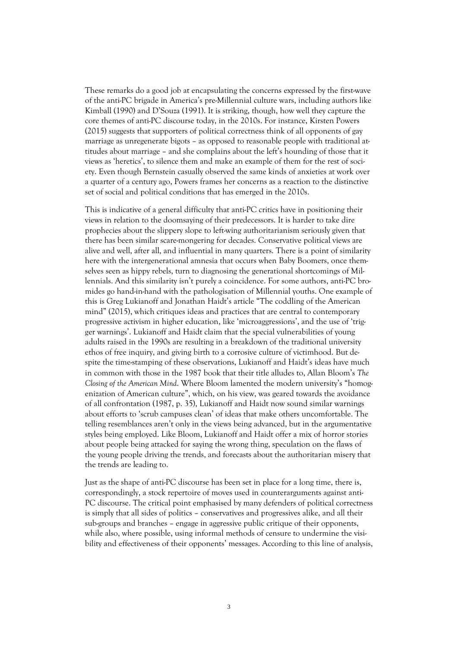These remarks do a good job at encapsulating the concerns expressed by the first-wave of the anti-PC brigade in America's pre-Millennial culture wars, including authors like Kimball (1990) and D'Souza (1991). It is striking, though, how well they capture the core themes of anti-PC discourse today, in the 2010s. For instance, Kirsten Powers (2015) suggests that supporters of political correctness think of all opponents of gay marriage as unregenerate bigots – as opposed to reasonable people with traditional attitudes about marriage – and she complains about the left's hounding of those that it views as 'heretics', to silence them and make an example of them for the rest of society. Even though Bernstein casually observed the same kinds of anxieties at work over a quarter of a century ago, Powers frames her concerns as a reaction to the distinctive set of social and political conditions that has emerged in the 2010s.

This is indicative of a general difficulty that anti-PC critics have in positioning their views in relation to the doomsaying of their predecessors. It is harder to take dire prophecies about the slippery slope to left-wing authoritarianism seriously given that there has been similar scare-mongering for decades. Conservative political views are alive and well, after all, and influential in many quarters. There is a point of similarity here with the intergenerational amnesia that occurs when Baby Boomers, once themselves seen as hippy rebels, turn to diagnosing the generational shortcomings of Millennials. And this similarity isn't purely a coincidence. For some authors, anti-PC bromides go hand-in-hand with the pathologisation of Millennial youths. One example of this is Greg Lukianoff and Jonathan Haidt's article "The coddling of the American mind" (2015), which critiques ideas and practices that are central to contemporary progressive activism in higher education, like 'microaggressions', and the use of 'trigger warnings'. Lukianoff and Haidt claim that the special vulnerabilities of young adults raised in the 1990s are resulting in a breakdown of the traditional university ethos of free inquiry, and giving birth to a corrosive culture of victimhood. But despite the time-stamping of these observations, Lukianoff and Haidt's ideas have much in common with those in the 1987 book that their title alludes to, Allan Bloom's *The Closing of the American Mind*. Where Bloom lamented the modern university's "homogenization of American culture", which, on his view, was geared towards the avoidance of all confrontation (1987, p. 35), Lukianoff and Haidt now sound similar warnings about efforts to 'scrub campuses clean' of ideas that make others uncomfortable. The telling resemblances aren't only in the views being advanced, but in the argumentative styles being employed. Like Bloom, Lukianoff and Haidt offer a mix of horror stories about people being attacked for saying the wrong thing, speculation on the flaws of the young people driving the trends, and forecasts about the authoritarian misery that the trends are leading to.

Just as the shape of anti-PC discourse has been set in place for a long time, there is, correspondingly, a stock repertoire of moves used in counterarguments against anti-PC discourse. The critical point emphasised by many defenders of political correctness is simply that all sides of politics – conservatives and progressives alike, and all their sub-groups and branches – engage in aggressive public critique of their opponents, while also, where possible, using informal methods of censure to undermine the visibility and effectiveness of their opponents' messages. According to this line of analysis,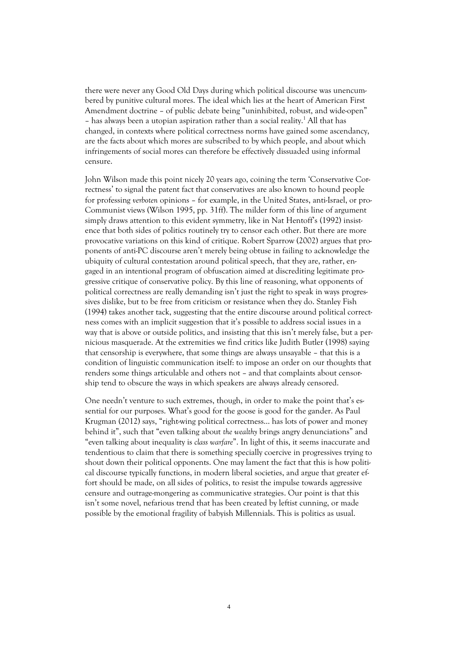there were never any Good Old Days during which political discourse was unencumbered by punitive cultural mores. The ideal which lies at the heart of American First Amendment doctrine – of public debate being "uninhibited, robust, and wide-open" – has always been a utopian aspiration rather than a social reality.<sup>1</sup> All that has changed, in contexts where political correctness norms have gained some ascendancy, are the facts about which mores are subscribed to by which people, and about which infringements of social mores can therefore be effectively dissuaded using informal censure.

John Wilson made this point nicely 20 years ago, coining the term 'Conservative Correctness' to signal the patent fact that conservatives are also known to hound people for professing *verboten* opinions – for example, in the United States, anti-Israel, or pro-Communist views (Wilson 1995, pp. 31ff). The milder form of this line of argument simply draws attention to this evident symmetry, like in Nat Hentoff's (1992) insistence that both sides of politics routinely try to censor each other. But there are more provocative variations on this kind of critique. Robert Sparrow (2002) argues that proponents of anti-PC discourse aren't merely being obtuse in failing to acknowledge the ubiquity of cultural contestation around political speech, that they are, rather, engaged in an intentional program of obfuscation aimed at discrediting legitimate progressive critique of conservative policy. By this line of reasoning, what opponents of political correctness are really demanding isn't just the right to speak in ways progressives dislike, but to be free from criticism or resistance when they do. Stanley Fish (1994) takes another tack, suggesting that the entire discourse around political correctness comes with an implicit suggestion that it's possible to address social issues in a way that is above or outside politics, and insisting that this isn't merely false, but a pernicious masquerade. At the extremities we find critics like Judith Butler (1998) saying that censorship is everywhere, that some things are always unsayable – that this is a condition of linguistic communication itself: to impose an order on our thoughts that renders some things articulable and others not – and that complaints about censorship tend to obscure the ways in which speakers are always already censored.

One needn't venture to such extremes, though, in order to make the point that's essential for our purposes. What's good for the goose is good for the gander. As Paul Krugman (2012) says, "right-wing political correctness… has lots of power and money behind it", such that "even talking about *the wealthy* brings angry denunciations" and "even talking about inequality is *class warfare*". In light of this, it seems inaccurate and tendentious to claim that there is something specially coercive in progressives trying to shout down their political opponents. One may lament the fact that this is how political discourse typically functions, in modern liberal societies, and argue that greater effort should be made, on all sides of politics, to resist the impulse towards aggressive censure and outrage-mongering as communicative strategies. Our point is that this isn't some novel, nefarious trend that has been created by leftist cunning, or made possible by the emotional fragility of babyish Millennials. This is politics as usual.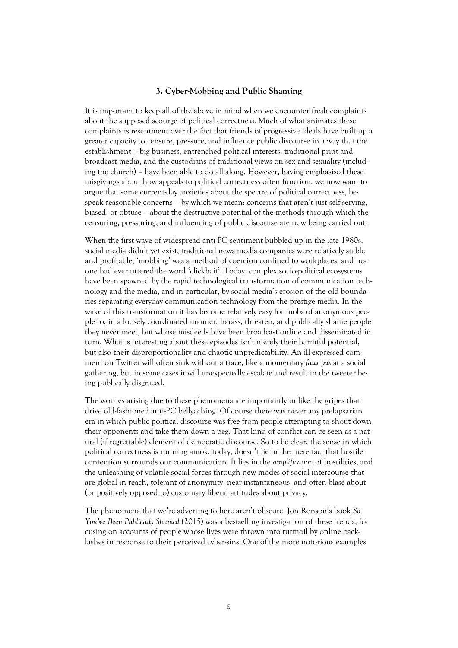#### **3. Cyber-Mobbing and Public Shaming**

It is important to keep all of the above in mind when we encounter fresh complaints about the supposed scourge of political correctness. Much of what animates these complaints is resentment over the fact that friends of progressive ideals have built up a greater capacity to censure, pressure, and influence public discourse in a way that the establishment – big business, entrenched political interests, traditional print and broadcast media, and the custodians of traditional views on sex and sexuality (including the church) – have been able to do all along. However, having emphasised these misgivings about how appeals to political correctness often function, we now want to argue that some current-day anxieties about the spectre of political correctness, bespeak reasonable concerns – by which we mean: concerns that aren't just self-serving, biased, or obtuse – about the destructive potential of the methods through which the censuring, pressuring, and influencing of public discourse are now being carried out.

When the first wave of widespread anti-PC sentiment bubbled up in the late 1980s, social media didn't yet exist, traditional news media companies were relatively stable and profitable, 'mobbing' was a method of coercion confined to workplaces, and noone had ever uttered the word 'clickbait'. Today, complex socio-political ecosystems have been spawned by the rapid technological transformation of communication technology and the media, and in particular, by social media's erosion of the old boundaries separating everyday communication technology from the prestige media. In the wake of this transformation it has become relatively easy for mobs of anonymous people to, in a loosely coordinated manner, harass, threaten, and publically shame people they never meet, but whose misdeeds have been broadcast online and disseminated in turn. What is interesting about these episodes isn't merely their harmful potential, but also their disproportionality and chaotic unpredictability. An ill-expressed comment on Twitter will often sink without a trace, like a momentary *faux pas* at a social gathering, but in some cases it will unexpectedly escalate and result in the tweeter being publically disgraced.

The worries arising due to these phenomena are importantly unlike the gripes that drive old-fashioned anti-PC bellyaching. Of course there was never any prelapsarian era in which public political discourse was free from people attempting to shout down their opponents and take them down a peg. That kind of conflict can be seen as a natural (if regrettable) element of democratic discourse. So to be clear, the sense in which political correctness is running amok, today, doesn't lie in the mere fact that hostile contention surrounds our communication. It lies in the *amplification* of hostilities, and the unleashing of volatile social forces through new modes of social intercourse that are global in reach, tolerant of anonymity, near-instantaneous, and often blasé about (or positively opposed to) customary liberal attitudes about privacy.

The phenomena that we're adverting to here aren't obscure. Jon Ronson's book *So You've Been Publically Shamed* (2015) was a bestselling investigation of these trends, focusing on accounts of people whose lives were thrown into turmoil by online backlashes in response to their perceived cyber-sins. One of the more notorious examples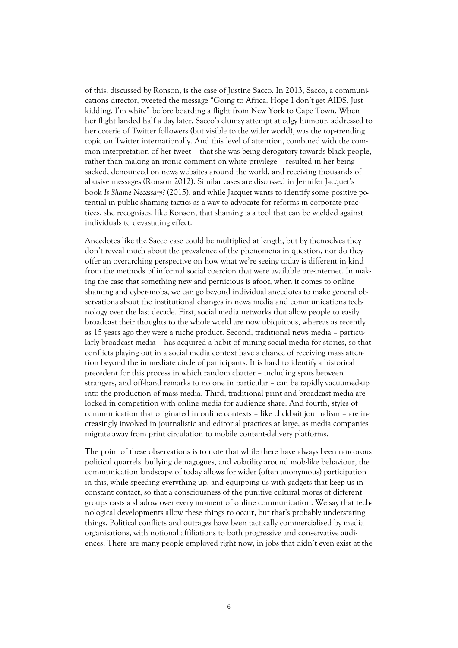of this, discussed by Ronson, is the case of Justine Sacco. In 2013, Sacco, a communications director, tweeted the message "Going to Africa. Hope I don't get AIDS. Just kidding. I'm white" before boarding a flight from New York to Cape Town. When her flight landed half a day later, Sacco's clumsy attempt at edgy humour, addressed to her coterie of Twitter followers (but visible to the wider world), was the top-trending topic on Twitter internationally. And this level of attention, combined with the common interpretation of her tweet – that she was being derogatory towards black people, rather than making an ironic comment on white privilege – resulted in her being sacked, denounced on news websites around the world, and receiving thousands of abusive messages (Ronson 2012). Similar cases are discussed in Jennifer Jacquet's book *Is Shame Necessary?* (2015), and while Jacquet wants to identify some positive potential in public shaming tactics as a way to advocate for reforms in corporate practices, she recognises, like Ronson, that shaming is a tool that can be wielded against individuals to devastating effect.

Anecdotes like the Sacco case could be multiplied at length, but by themselves they don't reveal much about the prevalence of the phenomena in question, nor do they offer an overarching perspective on how what we're seeing today is different in kind from the methods of informal social coercion that were available pre-internet. In making the case that something new and pernicious is afoot, when it comes to online shaming and cyber-mobs, we can go beyond individual anecdotes to make general observations about the institutional changes in news media and communications technology over the last decade. First, social media networks that allow people to easily broadcast their thoughts to the whole world are now ubiquitous, whereas as recently as 15 years ago they were a niche product. Second, traditional news media – particularly broadcast media – has acquired a habit of mining social media for stories, so that conflicts playing out in a social media context have a chance of receiving mass attention beyond the immediate circle of participants. It is hard to identify a historical precedent for this process in which random chatter – including spats between strangers, and off-hand remarks to no one in particular – can be rapidly vacuumed-up into the production of mass media. Third, traditional print and broadcast media are locked in competition with online media for audience share. And fourth, styles of communication that originated in online contexts – like clickbait journalism – are increasingly involved in journalistic and editorial practices at large, as media companies migrate away from print circulation to mobile content-delivery platforms.

The point of these observations is to note that while there have always been rancorous political quarrels, bullying demagogues, and volatility around mob-like behaviour, the communication landscape of today allows for wider (often anonymous) participation in this, while speeding everything up, and equipping us with gadgets that keep us in constant contact, so that a consciousness of the punitive cultural mores of different groups casts a shadow over every moment of online communication. We say that technological developments allow these things to occur, but that's probably understating things. Political conflicts and outrages have been tactically commercialised by media organisations, with notional affiliations to both progressive and conservative audiences. There are many people employed right now, in jobs that didn't even exist at the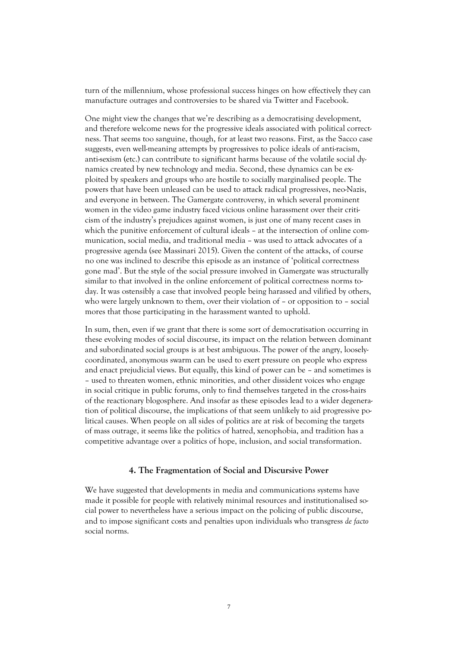turn of the millennium, whose professional success hinges on how effectively they can manufacture outrages and controversies to be shared via Twitter and Facebook.

One might view the changes that we're describing as a democratising development, and therefore welcome news for the progressive ideals associated with political correctness. That seems too sanguine, though, for at least two reasons. First, as the Sacco case suggests, even well-meaning attempts by progressives to police ideals of anti-racism, anti-sexism (etc.) can contribute to significant harms because of the volatile social dynamics created by new technology and media. Second, these dynamics can be exploited by speakers and groups who are hostile to socially marginalised people. The powers that have been unleased can be used to attack radical progressives, neo-Nazis, and everyone in between. The Gamergate controversy, in which several prominent women in the video game industry faced vicious online harassment over their criticism of the industry's prejudices against women, is just one of many recent cases in which the punitive enforcement of cultural ideals – at the intersection of online communication, social media, and traditional media – was used to attack advocates of a progressive agenda (see Massinari 2015). Given the content of the attacks, of course no one was inclined to describe this episode as an instance of 'political correctness gone mad'. But the style of the social pressure involved in Gamergate was structurally similar to that involved in the online enforcement of political correctness norms today. It was ostensibly a case that involved people being harassed and vilified by others, who were largely unknown to them, over their violation of – or opposition to – social mores that those participating in the harassment wanted to uphold.

In sum, then, even if we grant that there is some sort of democratisation occurring in these evolving modes of social discourse, its impact on the relation between dominant and subordinated social groups is at best ambiguous. The power of the angry, looselycoordinated, anonymous swarm can be used to exert pressure on people who express and enact prejudicial views. But equally, this kind of power can be – and sometimes is – used to threaten women, ethnic minorities, and other dissident voices who engage in social critique in public forums, only to find themselves targeted in the cross-hairs of the reactionary blogosphere. And insofar as these episodes lead to a wider degeneration of political discourse, the implications of that seem unlikely to aid progressive political causes. When people on all sides of politics are at risk of becoming the targets of mass outrage, it seems like the politics of hatred, xenophobia, and tradition has a competitive advantage over a politics of hope, inclusion, and social transformation.

# **4. The Fragmentation of Social and Discursive Power**

We have suggested that developments in media and communications systems have made it possible for people with relatively minimal resources and institutionalised social power to nevertheless have a serious impact on the policing of public discourse, and to impose significant costs and penalties upon individuals who transgress *de facto* social norms.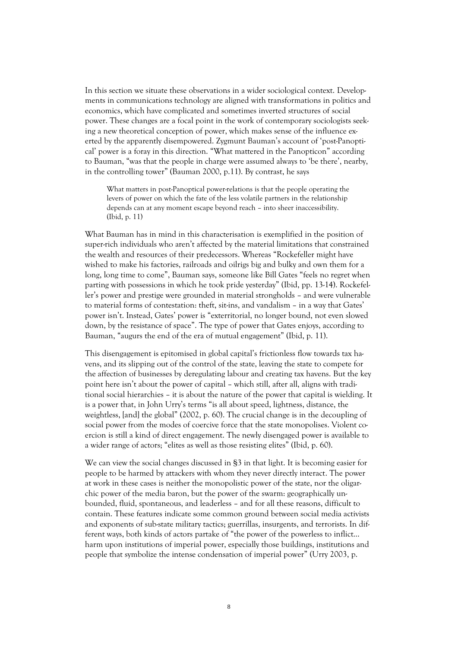In this section we situate these observations in a wider sociological context. Developments in communications technology are aligned with transformations in politics and economics, which have complicated and sometimes inverted structures of social power. These changes are a focal point in the work of contemporary sociologists seeking a new theoretical conception of power, which makes sense of the influence exerted by the apparently disempowered. Zygmunt Bauman's account of 'post-Panoptical' power is a foray in this direction. "What mattered in the Panopticon" according to Bauman, "was that the people in charge were assumed always to 'be there', nearby, in the controlling tower" (Bauman 2000, p.11). By contrast, he says

What matters in post-Panoptical power-relations is that the people operating the levers of power on which the fate of the less volatile partners in the relationship depends can at any moment escape beyond reach – into sheer inaccessibility. (Ibid, p. 11)

What Bauman has in mind in this characterisation is exemplified in the position of super-rich individuals who aren't affected by the material limitations that constrained the wealth and resources of their predecessors. Whereas "Rockefeller might have wished to make his factories, railroads and oilrigs big and bulky and own them for a long, long time to come", Bauman says, someone like Bill Gates "feels no regret when parting with possessions in which he took pride yesterday" (Ibid, pp. 13-14). Rockefeller's power and prestige were grounded in material strongholds – and were vulnerable to material forms of contestation: theft, sit-ins, and vandalism – in a way that Gates' power isn't. Instead, Gates' power is "exterritorial, no longer bound, not even slowed down, by the resistance of space". The type of power that Gates enjoys, according to Bauman, "augurs the end of the era of mutual engagement" (Ibid, p. 11).

This disengagement is epitomised in global capital's frictionless flow towards tax havens, and its slipping out of the control of the state, leaving the state to compete for the affection of businesses by deregulating labour and creating tax havens. But the key point here isn't about the power of capital – which still, after all, aligns with traditional social hierarchies – it is about the nature of the power that capital is wielding. It is a power that, in John Urry's terms "is all about speed, lightness, distance, the weightless, [and] the global" (2002, p. 60). The crucial change is in the decoupling of social power from the modes of coercive force that the state monopolises. Violent coercion is still a kind of direct engagement. The newly disengaged power is available to a wider range of actors; "elites as well as those resisting elites" (Ibid, p. 60).

We can view the social changes discussed in §3 in that light. It is becoming easier for people to be harmed by attackers with whom they never directly interact. The power at work in these cases is neither the monopolistic power of the state, nor the oligarchic power of the media baron, but the power of the swarm: geographically unbounded, fluid, spontaneous, and leaderless – and for all these reasons, difficult to contain. These features indicate some common ground between social media activists and exponents of sub-state military tactics; guerrillas, insurgents, and terrorists. In different ways, both kinds of actors partake of "the power of the powerless to inflict… harm upon institutions of imperial power, especially those buildings, institutions and people that symbolize the intense condensation of imperial power" (Urry 2003, p.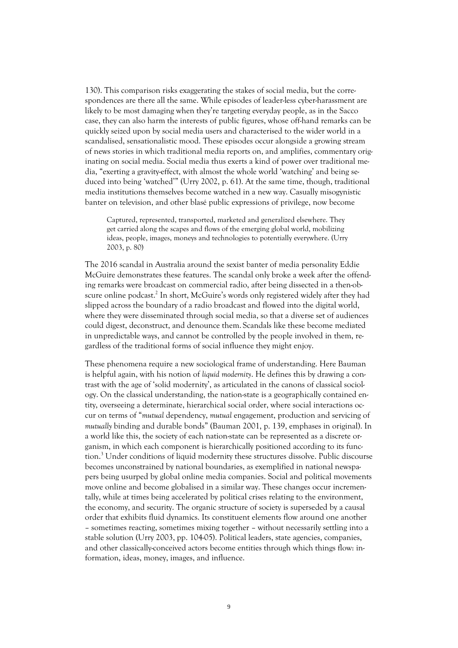130). This comparison risks exaggerating the stakes of social media, but the correspondences are there all the same. While episodes of leader-less cyber-harassment are likely to be most damaging when they're targeting everyday people, as in the Sacco case, they can also harm the interests of public figures, whose off-hand remarks can be quickly seized upon by social media users and characterised to the wider world in a scandalised, sensationalistic mood. These episodes occur alongside a growing stream of news stories in which traditional media reports on, and amplifies, commentary originating on social media. Social media thus exerts a kind of power over traditional media, "exerting a gravity-effect, with almost the whole world 'watching' and being seduced into being 'watched'" (Urry 2002, p. 61). At the same time, though, traditional media institutions themselves become watched in a new way. Casually misogynistic banter on television, and other blasé public expressions of privilege, now become

Captured, represented, transported, marketed and generalized elsewhere. They get carried along the scapes and flows of the emerging global world, mobilizing ideas, people, images, moneys and technologies to potentially everywhere. (Urry 2003, p. 80)

The 2016 scandal in Australia around the sexist banter of media personality Eddie McGuire demonstrates these features. The scandal only broke a week after the offending remarks were broadcast on commercial radio, after being dissected in a then-obscure online podcast.<sup>2</sup> In short, McGuire's words only registered widely after they had slipped across the boundary of a radio broadcast and flowed into the digital world, where they were disseminated through social media, so that a diverse set of audiences could digest, deconstruct, and denounce them. Scandals like these become mediated in unpredictable ways, and cannot be controlled by the people involved in them, regardless of the traditional forms of social influence they might enjoy.

These phenomena require a new sociological frame of understanding. Here Bauman is helpful again, with his notion of *liquid modernity*. He defines this by drawing a contrast with the age of 'solid modernity', as articulated in the canons of classical sociology. On the classical understanding, the nation-state is a geographically contained entity, overseeing a determinate, hierarchical social order, where social interactions occur on terms of "*mutual* dependency, *mutual* engagement, production and servicing of *mutually* binding and durable bonds" (Bauman 2001, p. 139, emphases in original). In a world like this, the society of each nation-state can be represented as a discrete organism, in which each component is hierarchically positioned according to its function.<sup>3</sup> Under conditions of liquid modernity these structures dissolve. Public discourse becomes unconstrained by national boundaries, as exemplified in national newspapers being usurped by global online media companies. Social and political movements move online and become globalised in a similar way. These changes occur incrementally, while at times being accelerated by political crises relating to the environment, the economy, and security. The organic structure of society is superseded by a causal order that exhibits fluid dynamics. Its constituent elements flow around one another – sometimes reacting, sometimes mixing together – without necessarily settling into a stable solution (Urry 2003, pp. 104-05). Political leaders, state agencies, companies, and other classically-conceived actors become entities through which things flow: information, ideas, money, images, and influence.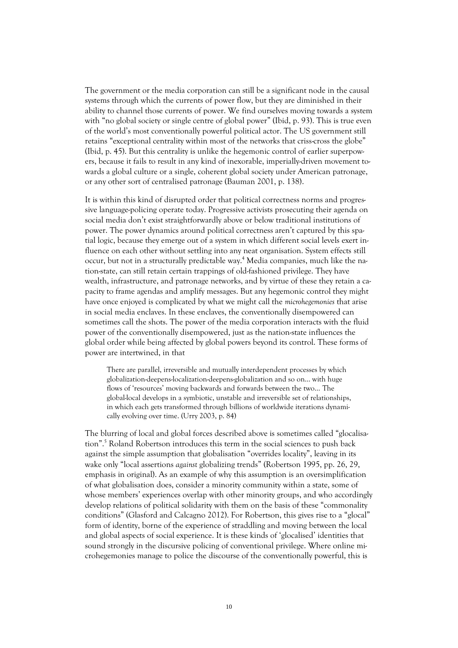The government or the media corporation can still be a significant node in the causal systems through which the currents of power flow, but they are diminished in their ability to channel those currents of power. We find ourselves moving towards a system with "no global society or single centre of global power" (Ibid, p. 93). This is true even of the world's most conventionally powerful political actor. The US government still retains "exceptional centrality within most of the networks that criss-cross the globe" (Ibid, p. 45). But this centrality is unlike the hegemonic control of earlier superpowers, because it fails to result in any kind of inexorable, imperially-driven movement towards a global culture or a single, coherent global society under American patronage, or any other sort of centralised patronage (Bauman 2001, p. 138).

It is within this kind of disrupted order that political correctness norms and progressive language-policing operate today. Progressive activists prosecuting their agenda on social media don't exist straightforwardly above or below traditional institutions of power. The power dynamics around political correctness aren't captured by this spatial logic, because they emerge out of a system in which different social levels exert influence on each other without settling into any neat organisation. System effects still occur, but not in a structurally predictable way. <sup>4</sup> Media companies, much like the nation-state, can still retain certain trappings of old-fashioned privilege. They have wealth, infrastructure, and patronage networks, and by virtue of these they retain a capacity to frame agendas and amplify messages. But any hegemonic control they might have once enjoyed is complicated by what we might call the *microhegemonies* that arise in social media enclaves. In these enclaves, the conventionally disempowered can sometimes call the shots. The power of the media corporation interacts with the fluid power of the conventionally disempowered, just as the nation-state influences the global order while being affected by global powers beyond its control. These forms of power are intertwined, in that

There are parallel, irreversible and mutually interdependent processes by which globalization-deepens-localization-deepens-globalization and so on… with huge flows of 'resources' moving backwards and forwards between the two… The global-local develops in a symbiotic, unstable and irreversible set of relationships, in which each gets transformed through billions of worldwide iterations dynamically evolving over time. (Urry 2003, p. 84)

The blurring of local and global forces described above is sometimes called "glocalisation".<sup>5</sup> Roland Robertson introduces this term in the social sciences to push back against the simple assumption that globalisation "overrides locality", leaving in its wake only "local assertions *against* globalizing trends" (Robertson 1995, pp. 26, 29, emphasis in original). As an example of why this assumption is an oversimplification of what globalisation does, consider a minority community within a state, some of whose members' experiences overlap with other minority groups, and who accordingly develop relations of political solidarity with them on the basis of these "commonality conditions" (Glasford and Calcagno 2012). For Robertson, this gives rise to a "glocal" form of identity, borne of the experience of straddling and moving between the local and global aspects of social experience. It is these kinds of 'glocalised' identities that sound strongly in the discursive policing of conventional privilege. Where online microhegemonies manage to police the discourse of the conventionally powerful, this is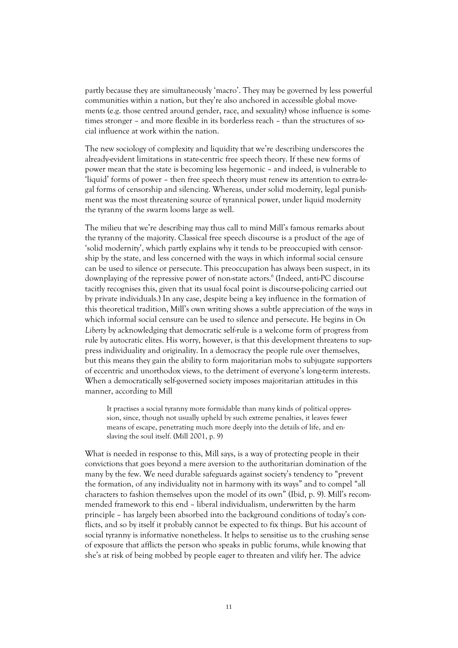partly because they are simultaneously 'macro'. They may be governed by less powerful communities within a nation, but they're also anchored in accessible global movements (e.g. those centred around gender, race, and sexuality) whose influence is sometimes stronger – and more flexible in its borderless reach – than the structures of social influence at work within the nation.

The new sociology of complexity and liquidity that we're describing underscores the already-evident limitations in state-centric free speech theory. If these new forms of power mean that the state is becoming less hegemonic – and indeed, is vulnerable to 'liquid' forms of power – then free speech theory must renew its attention to extra-legal forms of censorship and silencing. Whereas, under solid modernity, legal punishment was the most threatening source of tyrannical power, under liquid modernity the tyranny of the swarm looms large as well.

The milieu that we're describing may thus call to mind Mill's famous remarks about the tyranny of the majority. Classical free speech discourse is a product of the age of 'solid modernity', which partly explains why it tends to be preoccupied with censorship by the state, and less concerned with the ways in which informal social censure can be used to silence or persecute. This preoccupation has always been suspect, in its downplaying of the repressive power of non-state actors.<sup>6</sup> (Indeed, anti-PC discourse tacitly recognises this, given that its usual focal point is discourse-policing carried out by private individuals.) In any case, despite being a key influence in the formation of this theoretical tradition, Mill's own writing shows a subtle appreciation of the ways in which informal social censure can be used to silence and persecute. He begins in *On Liberty* by acknowledging that democratic self-rule is a welcome form of progress from rule by autocratic elites. His worry, however, is that this development threatens to suppress individuality and originality. In a democracy the people rule over themselves, but this means they gain the ability to form majoritarian mobs to subjugate supporters of eccentric and unorthodox views, to the detriment of everyone's long-term interests. When a democratically self-governed society imposes majoritarian attitudes in this manner, according to Mill

It practises a social tyranny more formidable than many kinds of political oppression, since, though not usually upheld by such extreme penalties, it leaves fewer means of escape, penetrating much more deeply into the details of life, and enslaving the soul itself. (Mill 2001, p. 9)

What is needed in response to this, Mill says, is a way of protecting people in their convictions that goes beyond a mere aversion to the authoritarian domination of the many by the few. We need durable safeguards against society's tendency to "prevent the formation, of any individuality not in harmony with its ways" and to compel "all characters to fashion themselves upon the model of its own" (Ibid, p. 9). Mill's recommended framework to this end – liberal individualism, underwritten by the harm principle – has largely been absorbed into the background conditions of today's conflicts, and so by itself it probably cannot be expected to fix things. But his account of social tyranny is informative nonetheless. It helps to sensitise us to the crushing sense of exposure that afflicts the person who speaks in public forums, while knowing that she's at risk of being mobbed by people eager to threaten and vilify her. The advice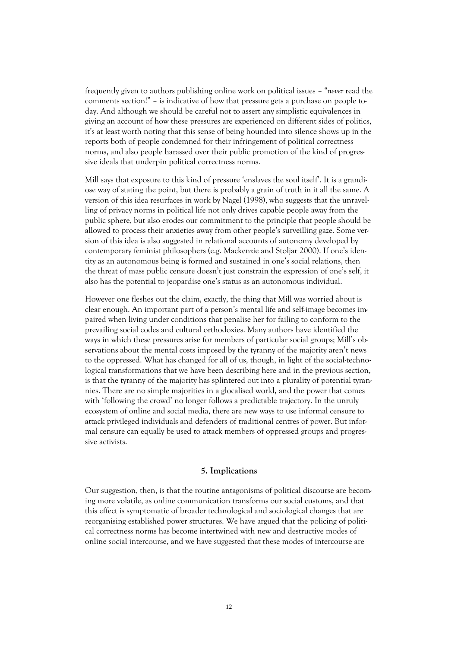frequently given to authors publishing online work on political issues – "*never* read the comments section!" – is indicative of how that pressure gets a purchase on people today. And although we should be careful not to assert any simplistic equivalences in giving an account of how these pressures are experienced on different sides of politics, it's at least worth noting that this sense of being hounded into silence shows up in the reports both of people condemned for their infringement of political correctness norms, and also people harassed over their public promotion of the kind of progressive ideals that underpin political correctness norms.

Mill says that exposure to this kind of pressure 'enslaves the soul itself'. It is a grandiose way of stating the point, but there is probably a grain of truth in it all the same. A version of this idea resurfaces in work by Nagel (1998), who suggests that the unravelling of privacy norms in political life not only drives capable people away from the public sphere, but also erodes our commitment to the principle that people should be allowed to process their anxieties away from other people's surveilling gaze. Some version of this idea is also suggested in relational accounts of autonomy developed by contemporary feminist philosophers (e.g. Mackenzie and Stoljar 2000). If one's identity as an autonomous being is formed and sustained in one's social relations, then the threat of mass public censure doesn't just constrain the expression of one's self, it also has the potential to jeopardise one's status as an autonomous individual.

However one fleshes out the claim, exactly, the thing that Mill was worried about is clear enough. An important part of a person's mental life and self-image becomes impaired when living under conditions that penalise her for failing to conform to the prevailing social codes and cultural orthodoxies. Many authors have identified the ways in which these pressures arise for members of particular social groups; Mill's observations about the mental costs imposed by the tyranny of the majority aren't news to the oppressed. What has changed for all of us, though, in light of the social-technological transformations that we have been describing here and in the previous section, is that the tyranny of the majority has splintered out into a plurality of potential tyrannies. There are no simple majorities in a glocalised world, and the power that comes with 'following the crowd' no longer follows a predictable trajectory. In the unruly ecosystem of online and social media, there are new ways to use informal censure to attack privileged individuals and defenders of traditional centres of power. But informal censure can equally be used to attack members of oppressed groups and progressive activists.

# **5. Implications**

Our suggestion, then, is that the routine antagonisms of political discourse are becoming more volatile, as online communication transforms our social customs, and that this effect is symptomatic of broader technological and sociological changes that are reorganising established power structures. We have argued that the policing of political correctness norms has become intertwined with new and destructive modes of online social intercourse, and we have suggested that these modes of intercourse are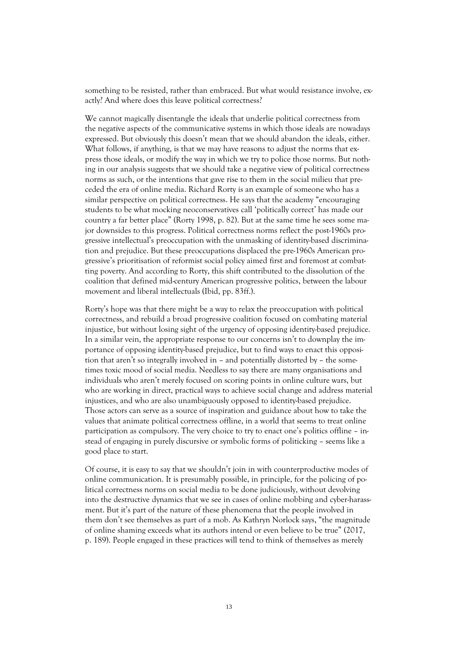something to be resisted, rather than embraced. But what would resistance involve, exactly? And where does this leave political correctness?

We cannot magically disentangle the ideals that underlie political correctness from the negative aspects of the communicative systems in which those ideals are nowadays expressed. But obviously this doesn't mean that we should abandon the ideals, either. What follows, if anything, is that we may have reasons to adjust the norms that express those ideals, or modify the way in which we try to police those norms. But nothing in our analysis suggests that we should take a negative view of political correctness norms as such, or the intentions that gave rise to them in the social milieu that preceded the era of online media. Richard Rorty is an example of someone who has a similar perspective on political correctness. He says that the academy "encouraging students to be what mocking neoconservatives call 'politically correct' has made our country a far better place" (Rorty 1998, p. 82). But at the same time he sees some major downsides to this progress. Political correctness norms reflect the post-1960s progressive intellectual's preoccupation with the unmasking of identity-based discrimination and prejudice. But these preoccupations displaced the pre-1960s American progressive's prioritisation of reformist social policy aimed first and foremost at combatting poverty. And according to Rorty, this shift contributed to the dissolution of the coalition that defined mid-century American progressive politics, between the labour movement and liberal intellectuals (Ibid, pp. 83ff.).

Rorty's hope was that there might be a way to relax the preoccupation with political correctness, and rebuild a broad progressive coalition focused on combating material injustice, but without losing sight of the urgency of opposing identity-based prejudice. In a similar vein, the appropriate response to our concerns isn't to downplay the importance of opposing identity-based prejudice, but to find ways to enact this opposition that aren't so integrally involved in – and potentially distorted by – the sometimes toxic mood of social media. Needless to say there are many organisations and individuals who aren't merely focused on scoring points in online culture wars, but who are working in direct, practical ways to achieve social change and address material injustices, and who are also unambiguously opposed to identity-based prejudice. Those actors can serve as a source of inspiration and guidance about how to take the values that animate political correctness offline, in a world that seems to treat online participation as compulsory. The very choice to try to enact one's politics offline – instead of engaging in purely discursive or symbolic forms of politicking – seems like a good place to start.

Of course, it is easy to say that we shouldn't join in with counterproductive modes of online communication. It is presumably possible, in principle, for the policing of political correctness norms on social media to be done judiciously, without devolving into the destructive dynamics that we see in cases of online mobbing and cyber-harassment. But it's part of the nature of these phenomena that the people involved in them don't see themselves as part of a mob. As Kathryn Norlock says, "the magnitude of online shaming exceeds what its authors intend or even believe to be true" (2017, p. 189). People engaged in these practices will tend to think of themselves as merely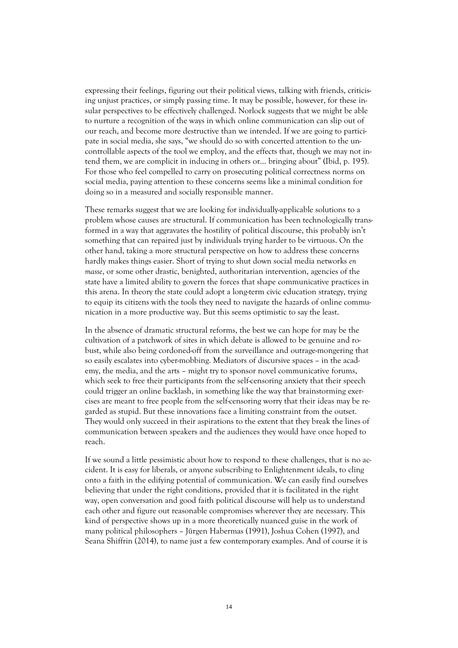expressing their feelings, figuring out their political views, talking with friends, criticising unjust practices, or simply passing time. It may be possible, however, for these insular perspectives to be effectively challenged. Norlock suggests that we might be able to nurture a recognition of the ways in which online communication can slip out of our reach, and become more destructive than we intended. If we are going to participate in social media, she says, "we should do so with concerted attention to the uncontrollable aspects of the tool we employ, and the effects that, though we may not intend them, we are complicit in inducing in others or… bringing about" (Ibid, p. 195). For those who feel compelled to carry on prosecuting political correctness norms on social media, paying attention to these concerns seems like a minimal condition for doing so in a measured and socially responsible manner.

These remarks suggest that we are looking for individually-applicable solutions to a problem whose causes are structural. If communication has been technologically transformed in a way that aggravates the hostility of political discourse, this probably isn't something that can repaired just by individuals trying harder to be virtuous. On the other hand, taking a more structural perspective on how to address these concerns hardly makes things easier. Short of trying to shut down social media networks *en masse*, or some other drastic, benighted, authoritarian intervention, agencies of the state have a limited ability to govern the forces that shape communicative practices in this arena. In theory the state could adopt a long-term civic education strategy, trying to equip its citizens with the tools they need to navigate the hazards of online communication in a more productive way. But this seems optimistic to say the least.

In the absence of dramatic structural reforms, the best we can hope for may be the cultivation of a patchwork of sites in which debate is allowed to be genuine and robust, while also being cordoned-off from the surveillance and outrage-mongering that so easily escalates into cyber-mobbing. Mediators of discursive spaces – in the academy, the media, and the arts – might try to sponsor novel communicative forums, which seek to free their participants from the self-censoring anxiety that their speech could trigger an online backlash, in something like the way that brainstorming exercises are meant to free people from the self-censoring worry that their ideas may be regarded as stupid. But these innovations face a limiting constraint from the outset. They would only succeed in their aspirations to the extent that they break the lines of communication between speakers and the audiences they would have once hoped to reach.

If we sound a little pessimistic about how to respond to these challenges, that is no accident. It is easy for liberals, or anyone subscribing to Enlightenment ideals, to cling onto a faith in the edifying potential of communication. We can easily find ourselves believing that under the right conditions, provided that it is facilitated in the right way, open conversation and good faith political discourse will help us to understand each other and figure out reasonable compromises wherever they are necessary. This kind of perspective shows up in a more theoretically nuanced guise in the work of many political philosophers – Jürgen Habermas (1991), Joshua Cohen (1997), and Seana Shiffrin (2014), to name just a few contemporary examples. And of course it is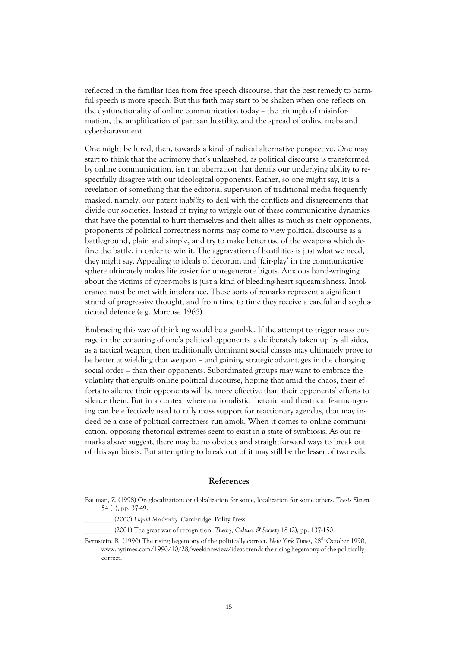reflected in the familiar idea from free speech discourse, that the best remedy to harmful speech is more speech. But this faith may start to be shaken when one reflects on the dysfunctionality of online communication today – the triumph of misinformation, the amplification of partisan hostility, and the spread of online mobs and cyber-harassment.

One might be lured, then, towards a kind of radical alternative perspective. One may start to think that the acrimony that's unleashed, as political discourse is transformed by online communication, isn't an aberration that derails our underlying ability to respectfully disagree with our ideological opponents. Rather, so one might say, it is a revelation of something that the editorial supervision of traditional media frequently masked, namely, our patent *inability* to deal with the conflicts and disagreements that divide our societies. Instead of trying to wriggle out of these communicative dynamics that have the potential to hurt themselves and their allies as much as their opponents, proponents of political correctness norms may come to view political discourse as a battleground, plain and simple, and try to make better use of the weapons which define the battle, in order to win it. The aggravation of hostilities is just what we need, they might say. Appealing to ideals of decorum and 'fair-play' in the communicative sphere ultimately makes life easier for unregenerate bigots. Anxious hand-wringing about the victims of cyber-mobs is just a kind of bleeding-heart squeamishness. Intolerance must be met with intolerance. These sorts of remarks represent a significant strand of progressive thought, and from time to time they receive a careful and sophisticated defence (e.g. Marcuse 1965).

Embracing this way of thinking would be a gamble. If the attempt to trigger mass outrage in the censuring of one's political opponents is deliberately taken up by all sides, as a tactical weapon, then traditionally dominant social classes may ultimately prove to be better at wielding that weapon – and gaining strategic advantages in the changing social order – than their opponents. Subordinated groups may want to embrace the volatility that engulfs online political discourse, hoping that amid the chaos, their efforts to silence their opponents will be more effective than their opponents' efforts to silence them. But in a context where nationalistic rhetoric and theatrical fearmongering can be effectively used to rally mass support for reactionary agendas, that may indeed be a case of political correctness run amok. When it comes to online communication, opposing rhetorical extremes seem to exist in a state of symbiosis. As our remarks above suggest, there may be no obvious and straightforward ways to break out of this symbiosis. But attempting to break out of it may still be the lesser of two evils.

# **References**

- Bauman, Z. (1998) On glocalization: or globalization for some, localization for some others. *Thesis Eleven* 54 (1), pp. 37-49.
- \_\_\_\_\_\_\_\_ (2000) *Liquid Modernity*. Cambridge: Polity Press.
	- \_\_\_\_\_\_\_\_ (2001) The great war of recognition. *Theory, Culture & Society* 18 (2), pp. 137-150.
- Bernstein, R. (1990) The rising hegemony of the politically correct. *New York Times*, 28th October 1990, [www.nytimes.com/1990/10/28/weekinreview/ideas-trends-the-rising-hegemony-of-the-politically](http://www.nytimes.com/1990/10/28/weekinreview/ideas-trends-the-rising-hegemony-of-the-politically-correct)[correct.](http://www.nytimes.com/1990/10/28/weekinreview/ideas-trends-the-rising-hegemony-of-the-politically-correct)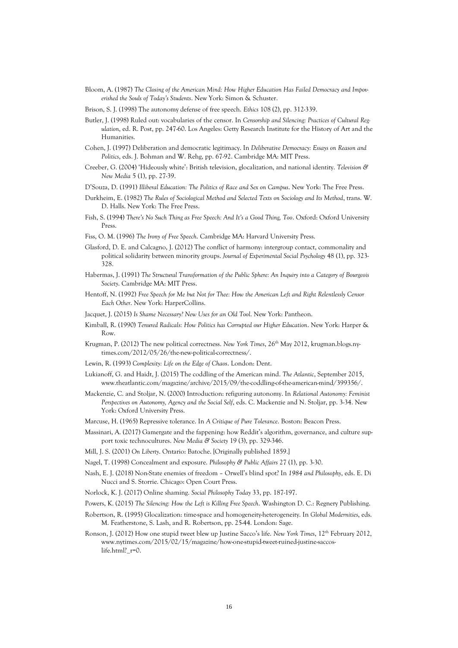- Bloom, A. (1987) *The Closing of the American Mind: How Higher Education Has Failed Democracy and Impoverished the Souls of Today's Students*. New York: Simon & Schuster.
- Brison, S. J. (1998) The autonomy defense of free speech. *Ethics* 108 (2), pp. 312-339.
- Butler, J. (1998) Ruled out: vocabularies of the censor. In *Censorship and Silencing: Practices of Cultural Regulation*, ed. R. Post, pp. 247-60. Los Angeles: Getty Research Institute for the History of Art and the Humanities.
- Cohen, J. (1997) Deliberation and democratic legitimacy. In *Deliberative Democracy: Essays on Reason and Politics*, eds. J. Bohman and W. Rehg, pp. 67-92. Cambridge MA: MIT Press.
- Creeber, G. (2004) 'Hideously white': British television, glocalization, and national identity. *Television & New Media* 5 (1), pp. 27-39.
- D'Souza, D. (1991) *Illiberal Education: The Politics of Race and Sex on Campus*. New York: The Free Press.
- Durkheim, E. (1982) *The Rules of Sociological Method and Selected Texts on Sociology and Its Method*, trans. W. D. Halls. New York: The Free Press.
- Fish, S. (1994) *There's No Such Thing as Free Speech: And It's a Good Thing, Too*. Oxford: Oxford University Press.
- Fiss, O. M. (1996) *The Irony of Free Speech*. Cambridge MA: Harvard University Press.
- Glasford, D. E. and Calcagno, J. (2012) The conflict of harmony: intergroup contact, commonality and political solidarity between minority groups. *Journal of Experimental Social Psychology* 48 (1), pp. 323- 328.
- Habermas, J. (1991) *The Structural Transformation of the Public Sphere: An Inquiry into a Category of Bourgeois Society*. Cambridge MA: MIT Press.
- Hentoff, N. (1992) *Free Speech for Me but Not for Thee: How the American Left and Right Relentlessly Censor Each Other*. New York: HarperCollins.
- Jacquet, J. (2015) *Is Shame Necessary? New Uses for an Old Tool*. New York: Pantheon.
- Kimball, R. (1990) *Tenured Radicals: How Politics has Corrupted our Higher Education*. New York: Harper & Row.
- Krugman, P. (2012) The new political correctness. *New York Times*, 26<sup>th</sup> May 2012[, krugman.blogs.ny](http://krugman.blogs.nytimes.com/2012/05/26/the-new-political-correctness/)[times.com/2012/05/26/the-new-political-correctness/.](http://krugman.blogs.nytimes.com/2012/05/26/the-new-political-correctness/)
- Lewin, R. (1993) *Complexity: Life on the Edge of Chaos*. London: Dent.
- Lukianoff, G. and Haidt, J. (2015) The coddling of the American mind. *The Atlantic*, September 2015, [www.theatlantic.com/magazine/archive/2015/09/the-coddling-of-the-american-mind/399356/.](http://www.theatlantic.com/magazine/archive/2015/09/the-coddling-of-the-american-mind/399356/)
- Mackenzie, C. and Stoljar, N. (2000) Introduction: refiguring autonomy. In *Relational Autonomy: Feminist Perspectives on Autonomy, Agency and the Social Self*, eds. C. Mackenzie and N. Stoljar, pp. 3-34. New York: Oxford University Press.
- Marcuse, H. (1965) Repressive tolerance. In *A Critique of Pure Tolerance*. Boston: Beacon Press.
- Massinari, A. (2017) Gamergate and the fappening: how Reddit's algorithm, governance, and culture support toxic technocultures. *New Media & Society* 19 (3), pp. 329-346.
- Mill, J. S. (2001) *On Liberty*. Ontario: Batoche. [Originally published 1859.]
- Nagel, T. (1998) Concealment and exposure. *Philosophy & Public Affairs* 27 (1), pp. 3-30.
- Nash, E. J. (2018) Non-State enemies of freedom Orwell's blind spot? In *1984 and Philosophy*, eds. E. Di Nucci and S. Storrie. Chicago: Open Court Press.
- Norlock, K. J. (2017) Online shaming. *Social Philosophy Today* 33, pp. 187-197.
- Powers, K. (2015) *The Silencing: How the Left is Killing Free Speech*. Washington D. C.: Regnery Publishing.
- Robertson, R. (1995) Glocalization: time-space and homogeneity-heterogeneity. In *Global Modernities*, eds. M. Featherstone, S. Lash, and R. Robertson, pp. 25-44. London: Sage.
- Ronson, J. (2012) How one stupid tweet blew up Justine Sacco's life. *New York Times*, 12th February 2012, [www.nytimes.com/2015/02/15/magazine/how-one-stupid-tweet-ruined-justine-saccos](http://www.nytimes.com/2015/02/15/magazine/how-one-stupid-tweet-ruined-justine-saccos-life.html?_r=0)[life.html?\\_r=0.](http://www.nytimes.com/2015/02/15/magazine/how-one-stupid-tweet-ruined-justine-saccos-life.html?_r=0)